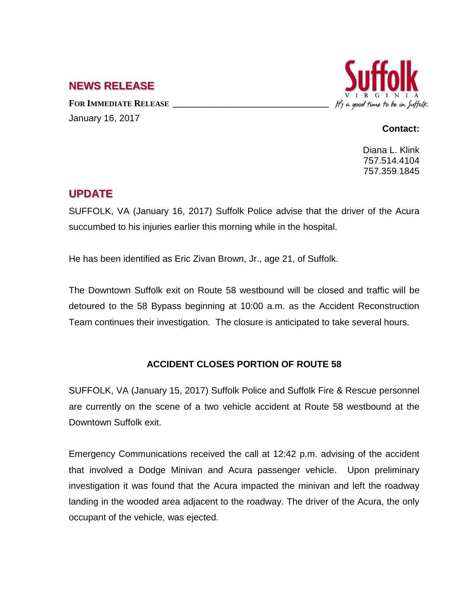## **NEWS RELEASE**

**FOR IMMEDIATE RELEASE \_\_\_\_\_\_\_\_\_\_\_\_\_\_\_\_\_\_\_\_\_\_\_\_\_\_\_\_\_\_\_\_\_\_** January 16, 2017



## **Contact:**

Diana L. Klink 757.514.4104 757.359.1845

## **UPDATE**

SUFFOLK, VA (January 16, 2017) Suffolk Police advise that the driver of the Acura succumbed to his injuries earlier this morning while in the hospital.

He has been identified as Eric Zivan Brown, Jr., age 21, of Suffolk.

The Downtown Suffolk exit on Route 58 westbound will be closed and traffic will be detoured to the 58 Bypass beginning at 10:00 a.m. as the Accident Reconstruction Team continues their investigation. The closure is anticipated to take several hours.

## **ACCIDENT CLOSES PORTION OF ROUTE 58**

SUFFOLK, VA (January 15, 2017) Suffolk Police and Suffolk Fire & Rescue personnel are currently on the scene of a two vehicle accident at Route 58 westbound at the Downtown Suffolk exit.

Emergency Communications received the call at 12:42 p.m. advising of the accident that involved a Dodge Minivan and Acura passenger vehicle. Upon preliminary investigation it was found that the Acura impacted the minivan and left the roadway landing in the wooded area adjacent to the roadway. The driver of the Acura, the only occupant of the vehicle, was ejected.